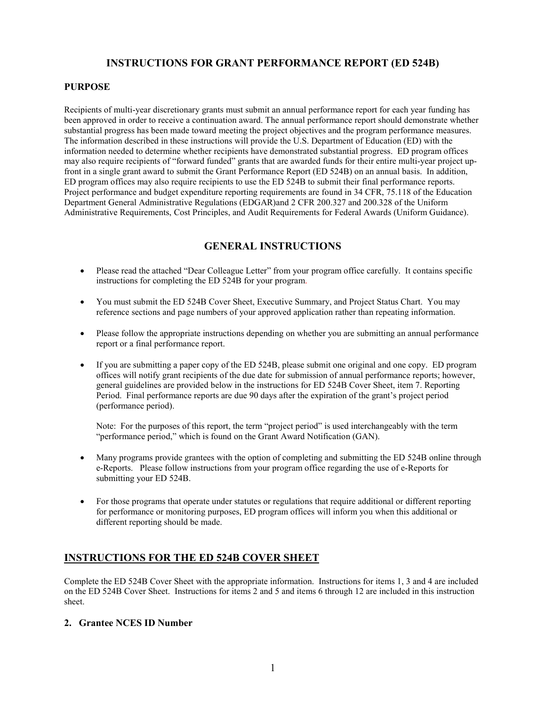# **INSTRUCTIONS FOR GRANT PERFORMANCE REPORT (ED 524B)**

## **PURPOSE**

Recipients of multi-year discretionary grants must submit an annual performance report for each year funding has been approved in order to receive a continuation award. The annual performance report should demonstrate whether substantial progress has been made toward meeting the project objectives and the program performance measures. The information described in these instructions will provide the U.S. Department of Education (ED) with the information needed to determine whether recipients have demonstrated substantial progress. ED program offices may also require recipients of "forward funded" grants that are awarded funds for their entire multi-year project upfront in a single grant award to submit the Grant Performance Report (ED 524B) on an annual basis. In addition, ED program offices may also require recipients to use the ED 524B to submit their final performance reports. Project performance and budget expenditure reporting requirements are found in 34 CFR, 75.118 of the Education Department General Administrative Regulations (EDGAR)and 2 CFR 200.327 and 200.328 of the Uniform Administrative Requirements, Cost Principles, and Audit Requirements for Federal Awards (Uniform Guidance).

# **GENERAL INSTRUCTIONS**

- Please read the attached "Dear Colleague Letter" from your program office carefully. It contains specific instructions for completing the ED 524B for your program.
- You must submit the ED 524B Cover Sheet, Executive Summary, and Project Status Chart. You may reference sections and page numbers of your approved application rather than repeating information.
- Please follow the appropriate instructions depending on whether you are submitting an annual performance report or a final performance report.
- If you are submitting a paper copy of the ED 524B, please submit one original and one copy. ED program offices will notify grant recipients of the due date for submission of annual performance reports; however, general guidelines are provided below in the instructions for ED 524B Cover Sheet, item 7. Reporting Period. Final performance reports are due 90 days after the expiration of the grant's project period (performance period).

Note: For the purposes of this report, the term "project period" is used interchangeably with the term "performance period," which is found on the Grant Award Notification (GAN).

- Many programs provide grantees with the option of completing and submitting the ED 524B online through e-Reports. Please follow instructions from your program office regarding the use of e-Reports for submitting your ED 524B.
- For those programs that operate under statutes or regulations that require additional or different reporting for performance or monitoring purposes, ED program offices will inform you when this additional or different reporting should be made.

# **INSTRUCTIONS FOR THE ED 524B COVER SHEET**

Complete the ED 524B Cover Sheet with the appropriate information. Instructions for items 1, 3 and 4 are included on the ED 524B Cover Sheet. Instructions for items 2 and 5 and items 6 through 12 are included in this instruction sheet.

## **2. Grantee NCES ID Number**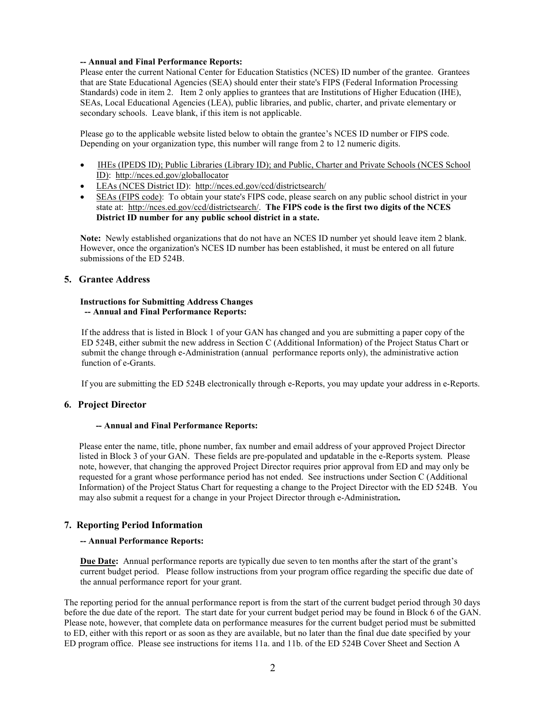#### **-- Annual and Final Performance Reports:**

Please enter the current National Center for Education Statistics (NCES) ID number of the grantee. Grantees that are State Educational Agencies (SEA) should enter their state's FIPS (Federal Information Processing Standards) code in item 2. Item 2 only applies to grantees that are Institutions of Higher Education (IHE), SEAs, Local Educational Agencies (LEA), public libraries, and public, charter, and private elementary or secondary schools. Leave blank, if this item is not applicable.

Please go to the applicable website listed below to obtain the grantee's NCES ID number or FIPS code. Depending on your organization type, this number will range from 2 to 12 numeric digits.

- IHEs (IPEDS ID); Public Libraries (Library ID); and Public, Charter and Private Schools (NCES School ID):<http://nces.ed.gov/globallocator>
- LEAs (NCES District ID): <http://nces.ed.gov/ccd/districtsearch/>
- SEAs (FIPS code): To obtain your state's FIPS code, please search on any public school district in your state at: [http://nces.ed.gov/ccd/districtsearch/.](http://nces.ed.gov/ccd/districtsearch/) **The FIPS code is the first two digits of the NCES District ID number for any public school district in a state.**

**Note:** Newly established organizations that do not have an NCES ID number yet should leave item 2 blank. However, once the organization's NCES ID number has been established, it must be entered on all future submissions of the ED 524B.

## **5. Grantee Address**

#### **Instructions for Submitting Address Changes -- Annual and Final Performance Reports:**

 If the address that is listed in Block 1 of your GAN has changed and you are submitting a paper copy of the ED 524B, either submit the new address in Section C (Additional Information) of the Project Status Chart or submit the change through e-Administration (annual performance reports only), the administrative action function of e-Grants.

If you are submitting the ED 524B electronically through e-Reports, you may update your address in e-Reports.

## **6. Project Director**

## **-- Annual and Final Performance Reports:**

Please enter the name, title, phone number, fax number and email address of your approved Project Director listed in Block 3 of your GAN. These fields are pre-populated and updatable in the e-Reports system. Please note, however, that changing the approved Project Director requires prior approval from ED and may only be requested for a grant whose performance period has not ended. See instructions under Section C (Additional Information) of the Project Status Chart for requesting a change to the Project Director with the ED 524B. You may also submit a request for a change in your Project Director through e-Administration**.**

## **7. Reporting Period Information**

## **-- Annual Performance Reports:**

**Due Date:** Annual performance reports are typically due seven to ten months after the start of the grant's current budget period. Please follow instructions from your program office regarding the specific due date of the annual performance report for your grant.

The reporting period for the annual performance report is from the start of the current budget period through 30 days before the due date of the report. The start date for your current budget period may be found in Block 6 of the GAN. Please note, however, that complete data on performance measures for the current budget period must be submitted to ED, either with this report or as soon as they are available, but no later than the final due date specified by your ED program office. Please see instructions for items 11a. and 11b. of the ED 524B Cover Sheet and Section A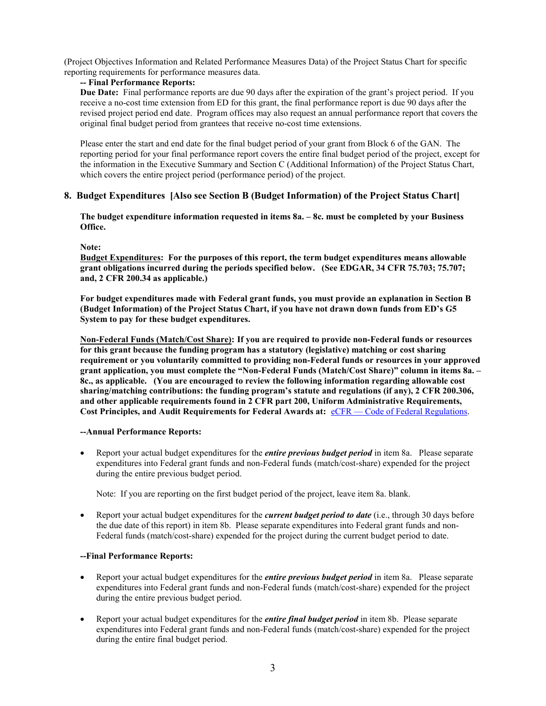(Project Objectives Information and Related Performance Measures Data) of the Project Status Chart for specific reporting requirements for performance measures data.

## **-- Final Performance Reports:**

**Due Date:** Final performance reports are due 90 days after the expiration of the grant's project period. If you receive a no-cost time extension from ED for this grant, the final performance report is due 90 days after the revised project period end date. Program offices may also request an annual performance report that covers the original final budget period from grantees that receive no-cost time extensions.

Please enter the start and end date for the final budget period of your grant from Block 6 of the GAN. The reporting period for your final performance report covers the entire final budget period of the project, except for the information in the Executive Summary and Section C (Additional Information) of the Project Status Chart, which covers the entire project period (performance period) of the project.

## **8. Budget Expenditures [Also see Section B (Budget Information) of the Project Status Chart]**

**The budget expenditure information requested in items 8a. – 8c. must be completed by your Business Office.** 

#### **Note:**

**Budget Expenditures: For the purposes of this report, the term budget expenditures means allowable grant obligations incurred during the periods specified below. (See EDGAR, 34 CFR 75.703; 75.707; and, 2 CFR 200.34 as applicable.)** 

**For budget expenditures made with Federal grant funds, you must provide an explanation in Section B (Budget Information) of the Project Status Chart, if you have not drawn down funds from ED's G5 System to pay for these budget expenditures.** 

**Non-Federal Funds (Match/Cost Share): If you are required to provide non-Federal funds or resources for this grant because the funding program has a statutory (legislative) matching or cost sharing requirement or you voluntarily committed to providing non-Federal funds or resources in your approved grant application, you must complete the "Non-Federal Funds (Match/Cost Share)" column in items 8a. – 8c., as applicable. (You are encouraged to review the following information regarding allowable cost sharing/matching contributions: the funding program's statute and regulations (if any), 2 CFR 200.306, and other applicable requirements found in 2 CFR part 200, Uniform Administrative Requirements, Cost Principles, and Audit Requirements for Federal Awards at:** [eCFR — Code of Federal Regulations.](http://www.ecfr.gov/cgi-bin/text-idx?SID=704835d27377ef5213a51c149de40cab&node=2:1.1.2.2.1&rgn=div5)

#### **--Annual Performance Reports:**

• Report your actual budget expenditures for the *entire previous budget period* in item 8a. Please separate expenditures into Federal grant funds and non-Federal funds (match/cost-share) expended for the project during the entire previous budget period.

Note: If you are reporting on the first budget period of the project, leave item 8a. blank.

• Report your actual budget expenditures for the *current budget period to date* (i.e., through 30 days before the due date of this report) in item 8b. Please separate expenditures into Federal grant funds and non-Federal funds (match/cost-share) expended for the project during the current budget period to date.

## **--Final Performance Reports:**

- Report your actual budget expenditures for the *entire previous budget period* in item 8a. Please separate expenditures into Federal grant funds and non-Federal funds (match/cost-share) expended for the project during the entire previous budget period.
- Report your actual budget expenditures for the *entire final budget period* in item 8b. Please separate expenditures into Federal grant funds and non-Federal funds (match/cost-share) expended for the project during the entire final budget period.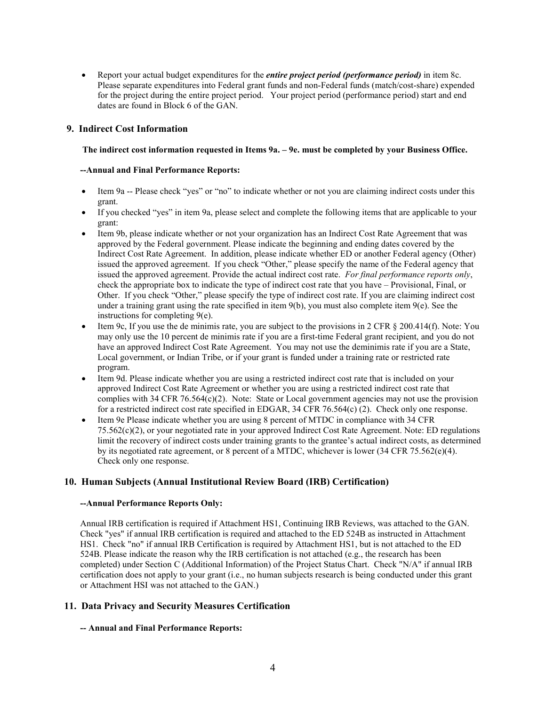• Report your actual budget expenditures for the *entire project period (performance period)* in item 8c. Please separate expenditures into Federal grant funds and non-Federal funds (match/cost-share) expended for the project during the entire project period. Your project period (performance period) start and end dates are found in Block 6 of the GAN.

## **9. Indirect Cost Information**

#### **The indirect cost information requested in Items 9a. – 9e. must be completed by your Business Office.**

#### **--Annual and Final Performance Reports:**

- Item 9a -- Please check "yes" or "no" to indicate whether or not you are claiming indirect costs under this grant.
- If you checked "yes" in item 9a, please select and complete the following items that are applicable to your grant:
- Item 9b, please indicate whether or not your organization has an Indirect Cost Rate Agreement that was approved by the Federal government. Please indicate the beginning and ending dates covered by the Indirect Cost Rate Agreement. In addition, please indicate whether ED or another Federal agency (Other) issued the approved agreement. If you check "Other," please specify the name of the Federal agency that issued the approved agreement. Provide the actual indirect cost rate. *For final performance reports only*, check the appropriate box to indicate the type of indirect cost rate that you have – Provisional, Final, or Other. If you check "Other," please specify the type of indirect cost rate. If you are claiming indirect cost under a training grant using the rate specified in item  $9(b)$ , you must also complete item  $9(e)$ . See the instructions for completing 9(e).
- Item 9c, If you use the de minimis rate, you are subject to the provisions in 2 CFR § 200.414(f). Note: You may only use the 10 percent de minimis rate if you are a first-time Federal grant recipient, and you do not have an approved Indirect Cost Rate Agreement. You may not use the deminimis rate if you are a State, Local government, or Indian Tribe, or if your grant is funded under a training rate or restricted rate program.
- Item 9d. Please indicate whether you are using a restricted indirect cost rate that is included on your approved Indirect Cost Rate Agreement or whether you are using a restricted indirect cost rate that complies with 34 CFR 76.564 $(c)(2)$ . Note: State or Local government agencies may not use the provision for a restricted indirect cost rate specified in EDGAR, 34 CFR 76.564(c) (2). Check only one response.
- Item 9e Please indicate whether you are using 8 percent of MTDC in compliance with 34 CFR 75.562(c)(2), or your negotiated rate in your approved Indirect Cost Rate Agreement. Note: ED regulations limit the recovery of indirect costs under training grants to the grantee's actual indirect costs, as determined by its negotiated rate agreement, or 8 percent of a MTDC, whichever is lower (34 CFR 75.562(e)(4). Check only one response.

## **10. Human Subjects (Annual Institutional Review Board (IRB) Certification)**

## **--Annual Performance Reports Only:**

Annual IRB certification is required if Attachment HS1, Continuing IRB Reviews, was attached to the GAN. Check "yes" if annual IRB certification is required and attached to the ED 524B as instructed in Attachment HS1. Check "no" if annual IRB Certification is required by Attachment HS1, but is not attached to the ED 524B. Please indicate the reason why the IRB certification is not attached (e.g., the research has been completed) under Section C (Additional Information) of the Project Status Chart. Check "N/A" if annual IRB certification does not apply to your grant (i.e., no human subjects research is being conducted under this grant or Attachment HSI was not attached to the GAN.)

## **11. Data Privacy and Security Measures Certification**

## **-- Annual and Final Performance Reports:**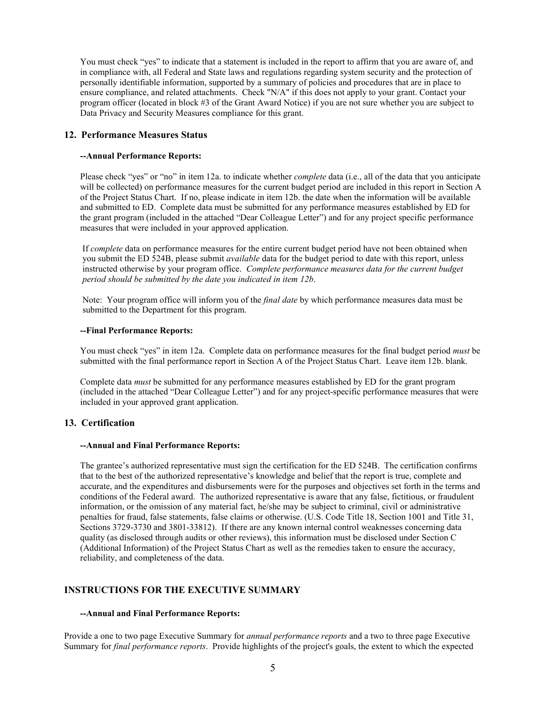You must check "yes" to indicate that a statement is included in the report to affirm that you are aware of, and in compliance with, all Federal and State laws and regulations regarding system security and the protection of personally identifiable information, supported by a summary of policies and procedures that are in place to ensure compliance, and related attachments. Check "N/A" if this does not apply to your grant. Contact your program officer (located in block #3 of the Grant Award Notice) if you are not sure whether you are subject to Data Privacy and Security Measures compliance for this grant.

## **12. Performance Measures Status**

#### **--Annual Performance Reports:**

Please check "yes" or "no" in item 12a. to indicate whether *complete* data (i.e., all of the data that you anticipate will be collected) on performance measures for the current budget period are included in this report in Section A of the Project Status Chart. If no, please indicate in item 12b. the date when the information will be available and submitted to ED. Complete data must be submitted for any performance measures established by ED for the grant program (included in the attached "Dear Colleague Letter") and for any project specific performance measures that were included in your approved application.

If *complete* data on performance measures for the entire current budget period have not been obtained when you submit the ED 524B, please submit *available* data for the budget period to date with this report, unless instructed otherwise by your program office. *Complete performance measures data for the current budget period should be submitted by the date you indicated in item 12b*.

Note: Your program office will inform you of the *final date* by which performance measures data must be submitted to the Department for this program.

#### **--Final Performance Reports:**

You must check "yes" in item 12a. Complete data on performance measures for the final budget period *must* be submitted with the final performance report in Section A of the Project Status Chart. Leave item 12b. blank.

Complete data *must* be submitted for any performance measures established by ED for the grant program (included in the attached "Dear Colleague Letter") and for any project-specific performance measures that were included in your approved grant application.

## **13. Certification**

#### **--Annual and Final Performance Reports:**

The grantee's authorized representative must sign the certification for the ED 524B. The certification confirms that to the best of the authorized representative's knowledge and belief that the report is true, complete and accurate, and the expenditures and disbursements were for the purposes and objectives set forth in the terms and conditions of the Federal award. The authorized representative is aware that any false, fictitious, or fraudulent information, or the omission of any material fact, he/she may be subject to criminal, civil or administrative penalties for fraud, false statements, false claims or otherwise. (U.S. Code Title 18, Section 1001 and Title 31, Sections 3729-3730 and 3801-33812). If there are any known internal control weaknesses concerning data quality (as disclosed through audits or other reviews), this information must be disclosed under Section C (Additional Information) of the Project Status Chart as well as the remedies taken to ensure the accuracy, reliability, and completeness of the data.

## **INSTRUCTIONS FOR THE EXECUTIVE SUMMARY**

## **--Annual and Final Performance Reports:**

Provide a one to two page Executive Summary for *annual performance reports* and a two to three page Executive Summary for *final performance reports*. Provide highlights of the project's goals, the extent to which the expected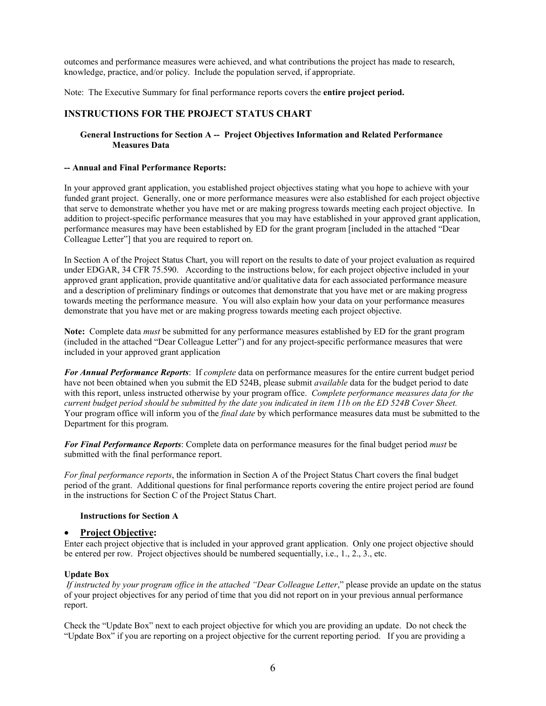outcomes and performance measures were achieved, and what contributions the project has made to research, knowledge, practice, and/or policy. Include the population served, if appropriate.

Note: The Executive Summary for final performance reports covers the **entire project period.**

## **INSTRUCTIONS FOR THE PROJECT STATUS CHART**

#### **General Instructions for Section A -- Project Objectives Information and Related Performance Measures Data**

#### **-- Annual and Final Performance Reports:**

In your approved grant application, you established project objectives stating what you hope to achieve with your funded grant project. Generally, one or more performance measures were also established for each project objective that serve to demonstrate whether you have met or are making progress towards meeting each project objective. In addition to project-specific performance measures that you may have established in your approved grant application, performance measures may have been established by ED for the grant program [included in the attached "Dear Colleague Letter"] that you are required to report on.

In Section A of the Project Status Chart, you will report on the results to date of your project evaluation as required under EDGAR, 34 CFR 75.590. According to the instructions below, for each project objective included in your approved grant application, provide quantitative and/or qualitative data for each associated performance measure and a description of preliminary findings or outcomes that demonstrate that you have met or are making progress towards meeting the performance measure. You will also explain how your data on your performance measures demonstrate that you have met or are making progress towards meeting each project objective.

**Note:** Complete data *must* be submitted for any performance measures established by ED for the grant program (included in the attached "Dear Colleague Letter") and for any project-specific performance measures that were included in your approved grant application

*For Annual Performance Reports*: If *complete* data on performance measures for the entire current budget period have not been obtained when you submit the ED 524B, please submit *available* data for the budget period to date with this report, unless instructed otherwise by your program office. *Complete performance measures data for the current budget period should be submitted by the date you indicated in item 11b on the ED 524B Cover Sheet.* Your program office will inform you of the *final date* by which performance measures data must be submitted to the Department for this program.

*For Final Performance Reports*: Complete data on performance measures for the final budget period *must* be submitted with the final performance report.

*For final performance reports*, the information in Section A of the Project Status Chart covers the final budget period of the grant. Additional questions for final performance reports covering the entire project period are found in the instructions for Section C of the Project Status Chart.

#### **Instructions for Section A**

## • **Project Objective:**

Enter each project objective that is included in your approved grant application. Only one project objective should be entered per row. Project objectives should be numbered sequentially, i.e., 1., 2., 3., etc.

## **Update Box**

*If instructed by your program office in the attached "Dear Colleague Letter*," please provide an update on the status of your project objectives for any period of time that you did not report on in your previous annual performance report.

Check the "Update Box" next to each project objective for which you are providing an update. Do not check the "Update Box" if you are reporting on a project objective for the current reporting period. If you are providing a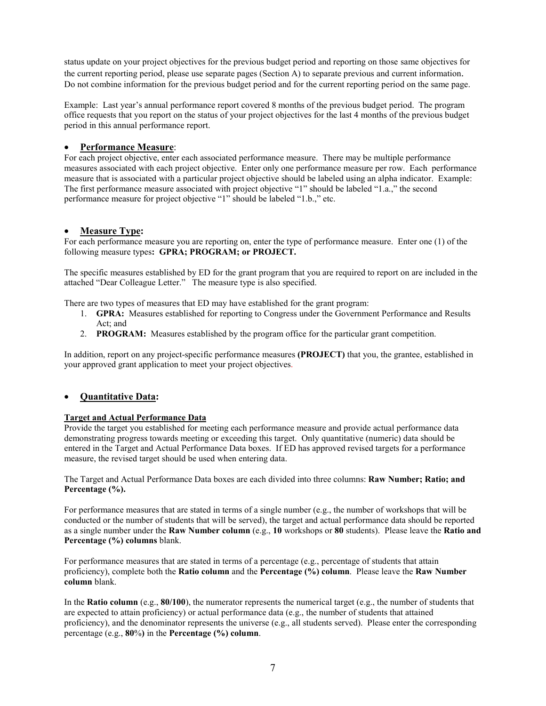status update on your project objectives for the previous budget period and reporting on those same objectives for the current reporting period, please use separate pages (Section A) to separate previous and current information. Do not combine information for the previous budget period and for the current reporting period on the same page.

Example: Last year's annual performance report covered 8 months of the previous budget period. The program office requests that you report on the status of your project objectives for the last 4 months of the previous budget period in this annual performance report.

## • **Performance Measure**:

For each project objective, enter each associated performance measure. There may be multiple performance measures associated with each project objective. Enter only one performance measure per row. Each performance measure that is associated with a particular project objective should be labeled using an alpha indicator. Example: The first performance measure associated with project objective "1" should be labeled "1.a.," the second performance measure for project objective "1" should be labeled "1.b.," etc.

## • **Measure Type:**

For each performance measure you are reporting on, enter the type of performance measure. Enter one (1) of the following measure types**: GPRA; PROGRAM; or PROJECT.** 

The specific measures established by ED for the grant program that you are required to report on are included in the attached "Dear Colleague Letter." The measure type is also specified.

There are two types of measures that ED may have established for the grant program:

- 1. **GPRA:** Measures established for reporting to Congress under the Government Performance and Results Act; and
- 2. **PROGRAM:** Measures established by the program office for the particular grant competition.

In addition, report on any project-specific performance measures **(PROJECT)** that you, the grantee, established in your approved grant application to meet your project objectives.

## • **Quantitative Data:**

## **Target and Actual Performance Data**

Provide the target you established for meeting each performance measure and provide actual performance data demonstrating progress towards meeting or exceeding this target. Only quantitative (numeric) data should be entered in the Target and Actual Performance Data boxes. If ED has approved revised targets for a performance measure, the revised target should be used when entering data.

The Target and Actual Performance Data boxes are each divided into three columns: **Raw Number; Ratio; and Percentage (%).**

For performance measures that are stated in terms of a single number (e.g., the number of workshops that will be conducted or the number of students that will be served), the target and actual performance data should be reported as a single number under the **Raw Number column** (e.g., **10** workshops or **80** students). Please leave the **Ratio and Percentage (%) columns** blank.

For performance measures that are stated in terms of a percentage (e.g., percentage of students that attain proficiency), complete both the **Ratio column** and the **Percentage (%) column**. Please leave the **Raw Number column** blank.

In the **Ratio column** (e.g., **80/100**), the numerator represents the numerical target (e.g., the number of students that are expected to attain proficiency) or actual performance data (e.g., the number of students that attained proficiency), and the denominator represents the universe (e.g., all students served). Please enter the corresponding percentage (e.g., **80**%**)** in the **Percentage (%) column**.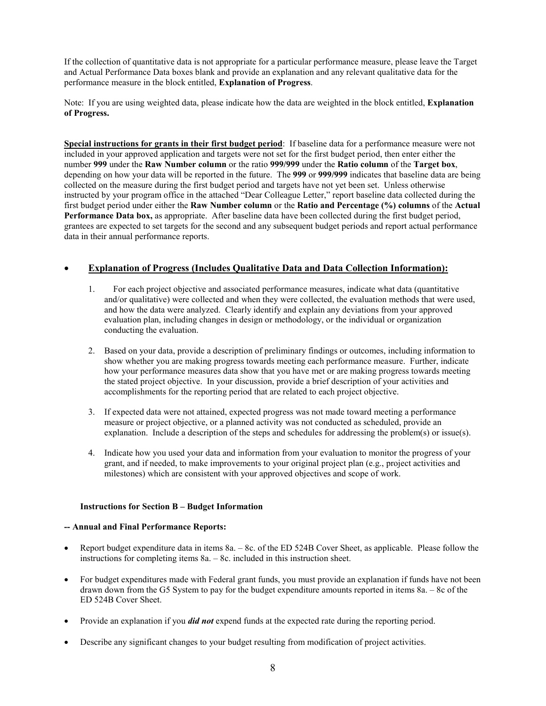If the collection of quantitative data is not appropriate for a particular performance measure, please leave the Target and Actual Performance Data boxes blank and provide an explanation and any relevant qualitative data for the performance measure in the block entitled, **Explanation of Progress**.

Note: If you are using weighted data, please indicate how the data are weighted in the block entitled, **Explanation of Progress.**

**Special instructions for grants in their first budget period**: If baseline data for a performance measure were not included in your approved application and targets were not set for the first budget period, then enter either the number **999** under the **Raw Number column** or the ratio **999/999** under the **Ratio column** of the **Target box**, depending on how your data will be reported in the future. The **999** or **999/999** indicates that baseline data are being collected on the measure during the first budget period and targets have not yet been set. Unless otherwise instructed by your program office in the attached "Dear Colleague Letter," report baseline data collected during the first budget period under either the **Raw Number column** or the **Ratio and Percentage (%) columns** of the **Actual**  Performance Data box, as appropriate. After baseline data have been collected during the first budget period, grantees are expected to set targets for the second and any subsequent budget periods and report actual performance data in their annual performance reports.

## • **Explanation of Progress (Includes Qualitative Data and Data Collection Information):**

- 1. For each project objective and associated performance measures, indicate what data (quantitative and/or qualitative) were collected and when they were collected, the evaluation methods that were used, and how the data were analyzed. Clearly identify and explain any deviations from your approved evaluation plan, including changes in design or methodology, or the individual or organization conducting the evaluation.
- 2. Based on your data, provide a description of preliminary findings or outcomes, including information to show whether you are making progress towards meeting each performance measure. Further, indicate how your performance measures data show that you have met or are making progress towards meeting the stated project objective. In your discussion, provide a brief description of your activities and accomplishments for the reporting period that are related to each project objective.
- 3. If expected data were not attained, expected progress was not made toward meeting a performance measure or project objective, or a planned activity was not conducted as scheduled, provide an explanation. Include a description of the steps and schedules for addressing the problem(s) or issue(s).
- 4. Indicate how you used your data and information from your evaluation to monitor the progress of your grant, and if needed, to make improvements to your original project plan (e.g., project activities and milestones) which are consistent with your approved objectives and scope of work.

## **Instructions for Section B – Budget Information**

#### **-- Annual and Final Performance Reports:**

- Report budget expenditure data in items 8a. 8c. of the ED 524B Cover Sheet, as applicable. Please follow the instructions for completing items 8a. – 8c. included in this instruction sheet.
- For budget expenditures made with Federal grant funds, you must provide an explanation if funds have not been drawn down from the G5 System to pay for the budget expenditure amounts reported in items 8a. – 8c of the ED 524B Cover Sheet.
- Provide an explanation if you *did not* expend funds at the expected rate during the reporting period.
- Describe any significant changes to your budget resulting from modification of project activities.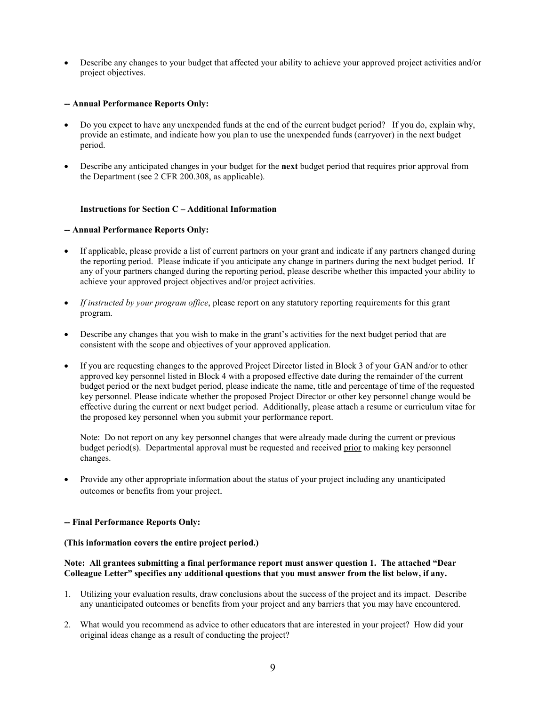• Describe any changes to your budget that affected your ability to achieve your approved project activities and/or project objectives.

#### **-- Annual Performance Reports Only:**

- Do you expect to have any unexpended funds at the end of the current budget period? If you do, explain why, provide an estimate, and indicate how you plan to use the unexpended funds (carryover) in the next budget period.
- Describe any anticipated changes in your budget for the **next** budget period that requires prior approval from the Department (see 2 CFR 200.308, as applicable).

#### **Instructions for Section C – Additional Information**

#### **-- Annual Performance Reports Only:**

- If applicable, please provide a list of current partners on your grant and indicate if any partners changed during the reporting period. Please indicate if you anticipate any change in partners during the next budget period. If any of your partners changed during the reporting period, please describe whether this impacted your ability to achieve your approved project objectives and/or project activities.
- *If instructed by your program office*, please report on any statutory reporting requirements for this grant program.
- Describe any changes that you wish to make in the grant's activities for the next budget period that are consistent with the scope and objectives of your approved application.
- If you are requesting changes to the approved Project Director listed in Block 3 of your GAN and/or to other approved key personnel listed in Block 4 with a proposed effective date during the remainder of the current budget period or the next budget period, please indicate the name, title and percentage of time of the requested key personnel. Please indicate whether the proposed Project Director or other key personnel change would be effective during the current or next budget period. Additionally, please attach a resume or curriculum vitae for the proposed key personnel when you submit your performance report.

Note: Do not report on any key personnel changes that were already made during the current or previous budget period(s). Departmental approval must be requested and received prior to making key personnel changes.

• Provide any other appropriate information about the status of your project including any unanticipated outcomes or benefits from your project.

#### **-- Final Performance Reports Only:**

**(This information covers the entire project period.)** 

## **Note: All grantees submitting a final performance report must answer question 1. The attached "Dear Colleague Letter" specifies any additional questions that you must answer from the list below, if any.**

- 1. Utilizing your evaluation results, draw conclusions about the success of the project and its impact. Describe any unanticipated outcomes or benefits from your project and any barriers that you may have encountered.
- 2. What would you recommend as advice to other educators that are interested in your project? How did your original ideas change as a result of conducting the project?